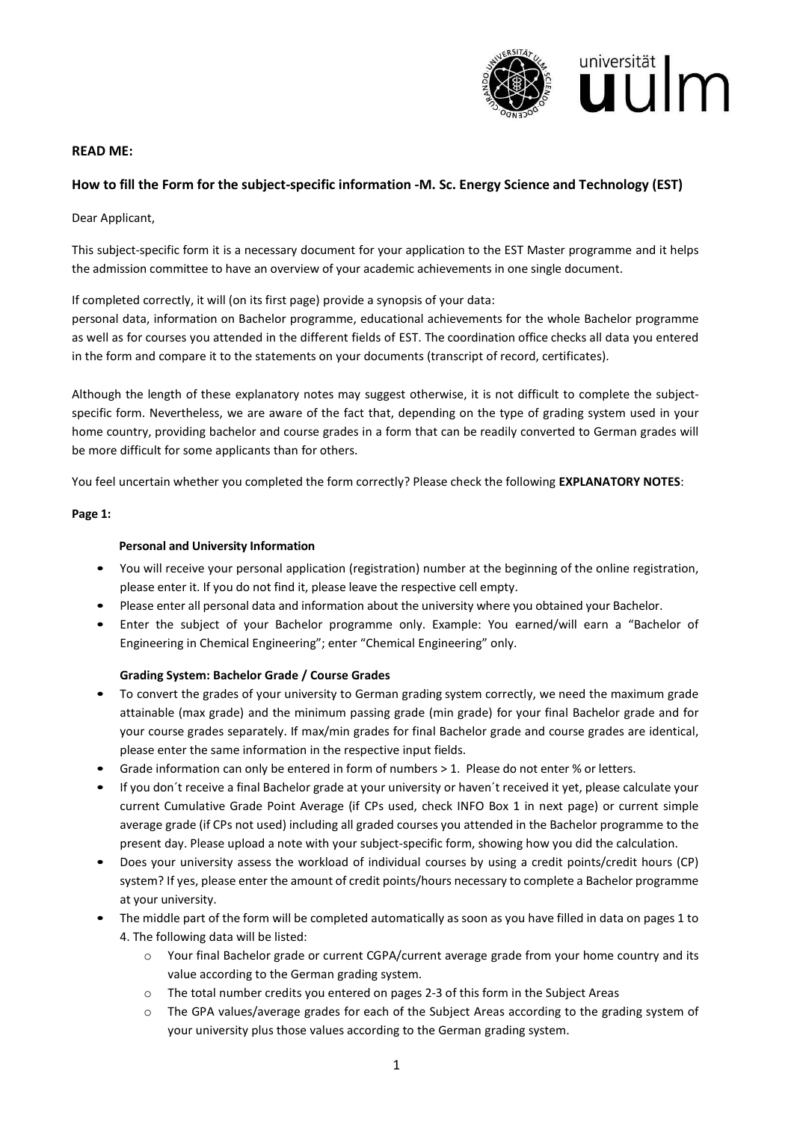

### **READ ME:**

# **How to fill the Form for the subject-specific information -M. Sc. Energy Science and Technology (EST)**

Dear Applicant,

This subject-specific form it is a necessary document for your application to the EST Master programme and it helps the admission committee to have an overview of your academic achievements in one single document.

If completed correctly, it will (on its first page) provide a synopsis of your data:

personal data, information on Bachelor programme, educational achievements for the whole Bachelor programme as well as for courses you attended in the different fields of EST. The coordination office checks all data you entered in the form and compare it to the statements on your documents (transcript of record, certificates).

Although the length of these explanatory notes may suggest otherwise, it is not difficult to complete the subjectspecific form. Nevertheless, we are aware of the fact that, depending on the type of grading system used in your home country, providing bachelor and course grades in a form that can be readily converted to German grades will be more difficult for some applicants than for others.

You feel uncertain whether you completed the form correctly? Please check the following **EXPLANATORY NOTES**:

#### **Page 1:**

### **Personal and University Information**

- You will receive your personal application (registration) number at the beginning of the online registration, please enter it. If you do not find it, please leave the respective cell empty.
- Please enter all personal data and information about the university where you obtained your Bachelor.
- Enter the subject of your Bachelor programme only. Example: You earned/will earn a "Bachelor of Engineering in Chemical Engineering"; enter "Chemical Engineering" only.

#### **Grading System: Bachelor Grade / Course Grades**

- To convert the grades of your university to German grading system correctly, we need the maximum grade attainable (max grade) and the minimum passing grade (min grade) for your final Bachelor grade and for your course grades separately. If max/min grades for final Bachelor grade and course grades are identical, please enter the same information in the respective input fields.
- Grade information can only be entered in form of numbers > 1. Please do not enter % or letters.
- If you don´t receive a final Bachelor grade at your university or haven´t received it yet, please calculate your current Cumulative Grade Point Average (if CPs used, check INFO Box 1 in next page) or current simple average grade (if CPs not used) including all graded courses you attended in the Bachelor programme to the present day. Please upload a note with your subject-specific form, showing how you did the calculation.
- Does your university assess the workload of individual courses by using a credit points/credit hours (CP) system? If yes, please enter the amount of credit points/hours necessary to complete a Bachelor programme at your university.
- The middle part of the form will be completed automatically as soon as you have filled in data on pages 1 to 4. The following data will be listed:
	- o Your final Bachelor grade or current CGPA/current average grade from your home country and its value according to the German grading system.
	- o The total number credits you entered on pages 2-3 of this form in the Subject Areas
	- o The GPA values/average grades for each of the Subject Areas according to the grading system of your university plus those values according to the German grading system.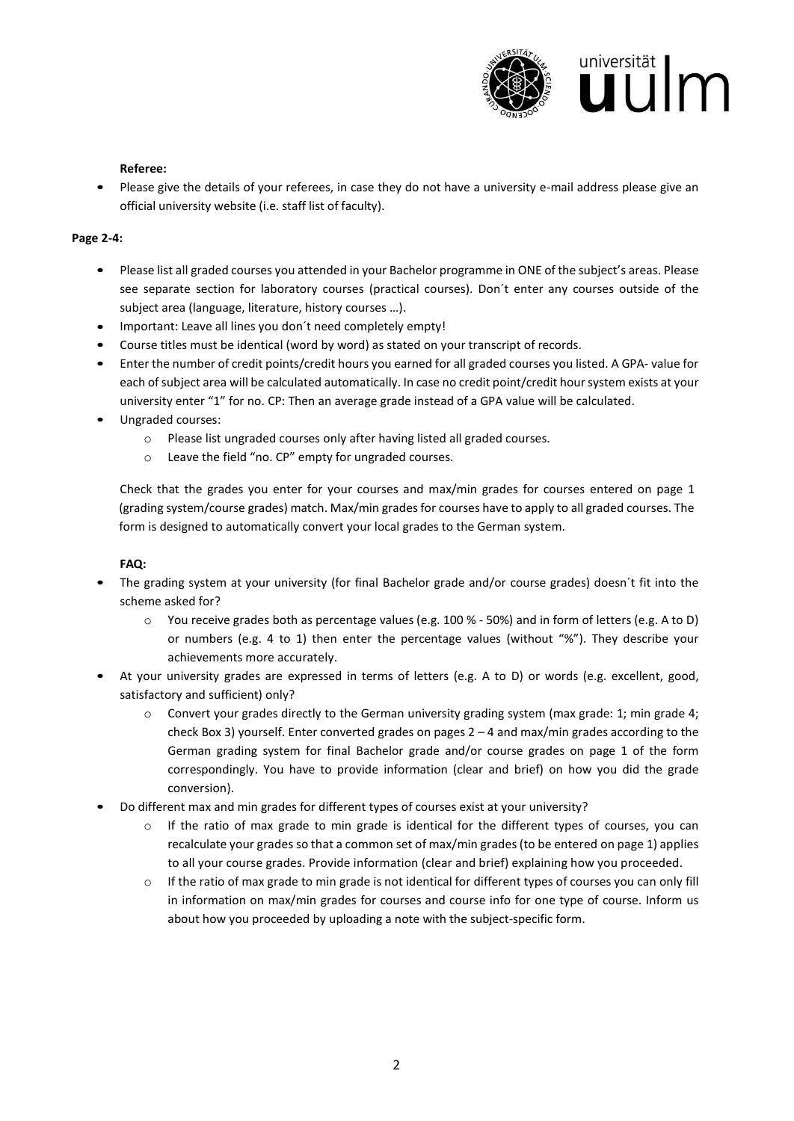

#### **Referee:**

• Please give the details of your referees, in case they do not have a university e-mail address please give an official university website (i.e. staff list of faculty).

### **Page 2-4:**

- Please list all graded courses you attended in your Bachelor programme in ONE of the subject's areas. Please see separate section for laboratory courses (practical courses). Don´t enter any courses outside of the subject area (language, literature, history courses …).
- Important: Leave all lines you don´t need completely empty!
- Course titles must be identical (word by word) as stated on your transcript of records.
- Enter the number of credit points/credit hours you earned for all graded courses you listed. A GPA- value for each of subject area will be calculated automatically. In case no credit point/credit hour system exists at your university enter "1" for no. CP: Then an average grade instead of a GPA value will be calculated.
- Ungraded courses:
	- o Please list ungraded courses only after having listed all graded courses.
	- o Leave the field "no. CP" empty for ungraded courses.

Check that the grades you enter for your courses and max/min grades for courses entered on page 1 (grading system/course grades) match. Max/min grades for courses have to apply to all graded courses. The form is designed to automatically convert your local grades to the German system.

# **FAQ:**

- The grading system at your university (for final Bachelor grade and/or course grades) doesn´t fit into the scheme asked for?
	- o You receive grades both as percentage values (e.g. 100 % 50%) and in form of letters (e.g. A to D) or numbers (e.g. 4 to 1) then enter the percentage values (without "%"). They describe your achievements more accurately.
- At your university grades are expressed in terms of letters (e.g. A to D) or words (e.g. excellent, good, satisfactory and sufficient) only?
	- $\circ$  Convert your grades directly to the German university grading system (max grade: 1; min grade 4; check Box 3) yourself. Enter converted grades on pages 2 – 4 and max/min grades according to the German grading system for final Bachelor grade and/or course grades on page 1 of the form correspondingly. You have to provide information (clear and brief) on how you did the grade conversion).
- Do different max and min grades for different types of courses exist at your university?
	- $\circ$  If the ratio of max grade to min grade is identical for the different types of courses, you can recalculate your grades so that a common set of max/min grades (to be entered on page 1) applies to all your course grades. Provide information (clear and brief) explaining how you proceeded.
	- o If the ratio of max grade to min grade is not identical for different types of courses you can only fill in information on max/min grades for courses and course info for one type of course. Inform us about how you proceeded by uploading a note with the subject-specific form.